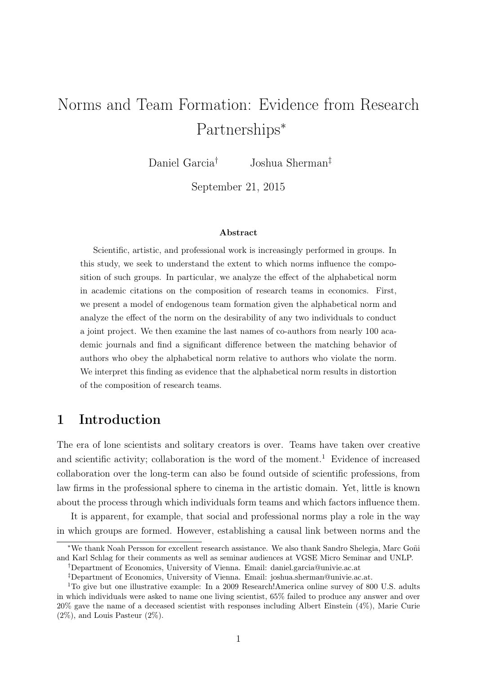# Norms and Team Formation: Evidence from Research Partnerships<sup>∗</sup>

Daniel Garcia† Joshua Sherman‡

September 21, 2015

#### Abstract

Scientific, artistic, and professional work is increasingly performed in groups. In this study, we seek to understand the extent to which norms influence the composition of such groups. In particular, we analyze the effect of the alphabetical norm in academic citations on the composition of research teams in economics. First, we present a model of endogenous team formation given the alphabetical norm and analyze the effect of the norm on the desirability of any two individuals to conduct a joint project. We then examine the last names of co-authors from nearly 100 academic journals and find a significant difference between the matching behavior of authors who obey the alphabetical norm relative to authors who violate the norm. We interpret this finding as evidence that the alphabetical norm results in distortion of the composition of research teams.

### 1 Introduction

The era of lone scientists and solitary creators is over. Teams have taken over creative and scientific activity; collaboration is the word of the moment.<sup>1</sup> Evidence of increased collaboration over the long-term can also be found outside of scientific professions, from law firms in the professional sphere to cinema in the artistic domain. Yet, little is known about the process through which individuals form teams and which factors influence them.

It is apparent, for example, that social and professional norms play a role in the way in which groups are formed. However, establishing a causal link between norms and the

<sup>∗</sup>We thank Noah Persson for excellent research assistance. We also thank Sandro Shelegia, Marc Goñi and Karl Schlag for their comments as well as seminar audiences at VGSE Micro Seminar and UNLP.

<sup>†</sup>Department of Economics, University of Vienna. Email: daniel.garcia@univie.ac.at

<sup>‡</sup>Department of Economics, University of Vienna. Email: joshua.sherman@univie.ac.at.

<sup>&</sup>lt;sup>1</sup>To give but one illustrative example: In a 2009 Research!America online survey of 800 U.S. adults in which individuals were asked to name one living scientist, 65% failed to produce any answer and over 20% gave the name of a deceased scientist with responses including Albert Einstein (4%), Marie Curie  $(2\%)$ , and Louis Pasteur  $(2\%)$ .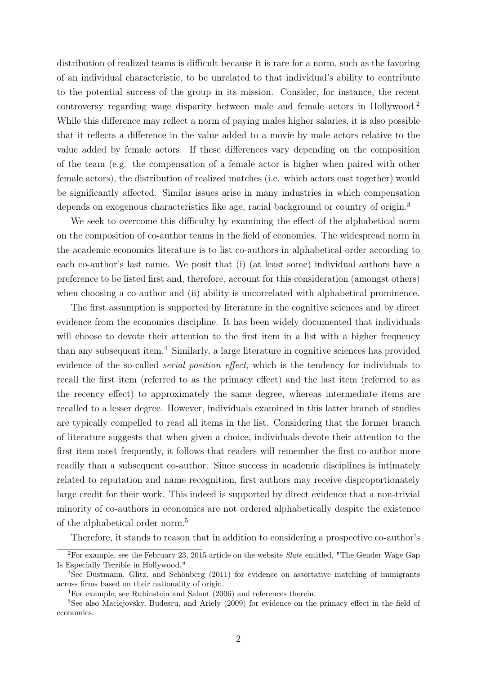distribution of realized teams is difficult because it is rare for a norm, such as the favoring of an individual characteristic, to be unrelated to that individual's ability to contribute to the potential success of the group in its mission. Consider, for instance, the recent controversy regarding wage disparity between male and female actors in Hollywood.<sup>2</sup> While this difference may reflect a norm of paying males higher salaries, it is also possible that it reflects a difference in the value added to a movie by male actors relative to the value added by female actors. If these differences vary depending on the composition of the team (e.g. the compensation of a female actor is higher when paired with other female actors), the distribution of realized matches (i.e. which actors cast together) would be significantly affected. Similar issues arise in many industries in which compensation depends on exogenous characteristics like age, racial background or country of origin.<sup>3</sup>

We seek to overcome this difficulty by examining the effect of the alphabetical norm on the composition of co-author teams in the field of economics. The widespread norm in the academic economics literature is to list co-authors in alphabetical order according to each co-author's last name. We posit that (i) (at least some) individual authors have a preference to be listed first and, therefore, account for this consideration (amongst others) when choosing a co-author and (ii) ability is uncorrelated with alphabetical prominence.

The first assumption is supported by literature in the cognitive sciences and by direct evidence from the economics discipline. It has been widely documented that individuals will choose to devote their attention to the first item in a list with a higher frequency than any subsequent item.<sup>4</sup> Similarly, a large literature in cognitive sciences has provided evidence of the so-called serial position effect, which is the tendency for individuals to recall the first item (referred to as the primacy effect) and the last item (referred to as the recency effect) to approximately the same degree, whereas intermediate items are recalled to a lesser degree. However, individuals examined in this latter branch of studies are typically compelled to read all items in the list. Considering that the former branch of literature suggests that when given a choice, individuals devote their attention to the first item most frequently, it follows that readers will remember the first co-author more readily than a subsequent co-author. Since success in academic disciplines is intimately related to reputation and name recognition, first authors may receive disproportionately large credit for their work. This indeed is supported by direct evidence that a non-trivial minority of co-authors in economics are not ordered alphabetically despite the existence of the alphabetical order norm.<sup>5</sup>

Therefore, it stands to reason that in addition to considering a prospective co-author's

<sup>&</sup>lt;sup>2</sup>For example, see the February 23, 2015 article on the website *Slate* entitled, "The Gender Wage Gap Is Especially Terrible in Hollywood."

<sup>3</sup>See Dustmann, Glitz, and Schönberg (2011) for evidence on assortative matching of immigrants across firms based on their nationality of origin.

<sup>4</sup>For example, see Rubinstein and Salant (2006) and references therein.

<sup>&</sup>lt;sup>5</sup>See also Maciejovsky, Budescu, and Ariely (2009) for evidence on the primacy effect in the field of economics.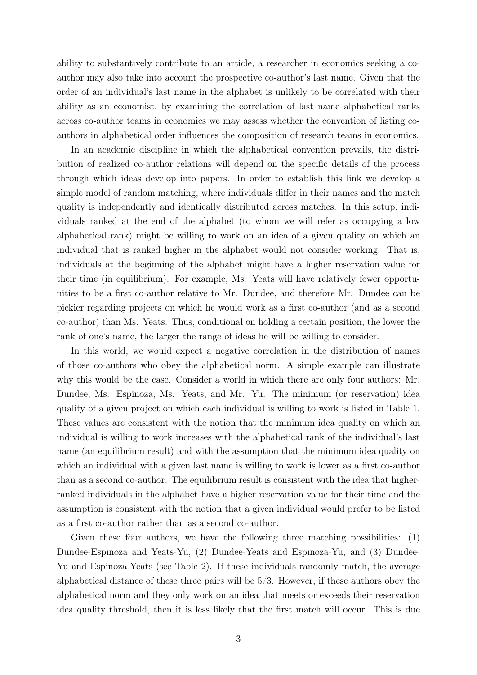ability to substantively contribute to an article, a researcher in economics seeking a coauthor may also take into account the prospective co-author's last name. Given that the order of an individual's last name in the alphabet is unlikely to be correlated with their ability as an economist, by examining the correlation of last name alphabetical ranks across co-author teams in economics we may assess whether the convention of listing coauthors in alphabetical order influences the composition of research teams in economics.

In an academic discipline in which the alphabetical convention prevails, the distribution of realized co-author relations will depend on the specific details of the process through which ideas develop into papers. In order to establish this link we develop a simple model of random matching, where individuals differ in their names and the match quality is independently and identically distributed across matches. In this setup, individuals ranked at the end of the alphabet (to whom we will refer as occupying a low alphabetical rank) might be willing to work on an idea of a given quality on which an individual that is ranked higher in the alphabet would not consider working. That is, individuals at the beginning of the alphabet might have a higher reservation value for their time (in equilibrium). For example, Ms. Yeats will have relatively fewer opportunities to be a first co-author relative to Mr. Dundee, and therefore Mr. Dundee can be pickier regarding projects on which he would work as a first co-author (and as a second co-author) than Ms. Yeats. Thus, conditional on holding a certain position, the lower the rank of one's name, the larger the range of ideas he will be willing to consider.

In this world, we would expect a negative correlation in the distribution of names of those co-authors who obey the alphabetical norm. A simple example can illustrate why this would be the case. Consider a world in which there are only four authors: Mr. Dundee, Ms. Espinoza, Ms. Yeats, and Mr. Yu. The minimum (or reservation) idea quality of a given project on which each individual is willing to work is listed in Table 1. These values are consistent with the notion that the minimum idea quality on which an individual is willing to work increases with the alphabetical rank of the individual's last name (an equilibrium result) and with the assumption that the minimum idea quality on which an individual with a given last name is willing to work is lower as a first co-author than as a second co-author. The equilibrium result is consistent with the idea that higherranked individuals in the alphabet have a higher reservation value for their time and the assumption is consistent with the notion that a given individual would prefer to be listed as a first co-author rather than as a second co-author.

Given these four authors, we have the following three matching possibilities: (1) Dundee-Espinoza and Yeats-Yu, (2) Dundee-Yeats and Espinoza-Yu, and (3) Dundee-Yu and Espinoza-Yeats (see Table 2). If these individuals randomly match, the average alphabetical distance of these three pairs will be 5/3. However, if these authors obey the alphabetical norm and they only work on an idea that meets or exceeds their reservation idea quality threshold, then it is less likely that the first match will occur. This is due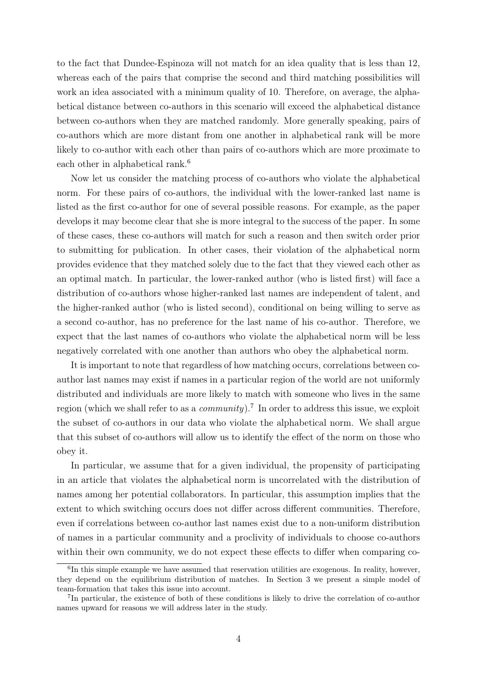to the fact that Dundee-Espinoza will not match for an idea quality that is less than 12, whereas each of the pairs that comprise the second and third matching possibilities will work an idea associated with a minimum quality of 10. Therefore, on average, the alphabetical distance between co-authors in this scenario will exceed the alphabetical distance between co-authors when they are matched randomly. More generally speaking, pairs of co-authors which are more distant from one another in alphabetical rank will be more likely to co-author with each other than pairs of co-authors which are more proximate to each other in alphabetical rank.<sup>6</sup>

Now let us consider the matching process of co-authors who violate the alphabetical norm. For these pairs of co-authors, the individual with the lower-ranked last name is listed as the first co-author for one of several possible reasons. For example, as the paper develops it may become clear that she is more integral to the success of the paper. In some of these cases, these co-authors will match for such a reason and then switch order prior to submitting for publication. In other cases, their violation of the alphabetical norm provides evidence that they matched solely due to the fact that they viewed each other as an optimal match. In particular, the lower-ranked author (who is listed first) will face a distribution of co-authors whose higher-ranked last names are independent of talent, and the higher-ranked author (who is listed second), conditional on being willing to serve as a second co-author, has no preference for the last name of his co-author. Therefore, we expect that the last names of co-authors who violate the alphabetical norm will be less negatively correlated with one another than authors who obey the alphabetical norm.

It is important to note that regardless of how matching occurs, correlations between coauthor last names may exist if names in a particular region of the world are not uniformly distributed and individuals are more likely to match with someone who lives in the same region (which we shall refer to as a *community*).<sup>7</sup> In order to address this issue, we exploit the subset of co-authors in our data who violate the alphabetical norm. We shall argue that this subset of co-authors will allow us to identify the effect of the norm on those who obey it.

In particular, we assume that for a given individual, the propensity of participating in an article that violates the alphabetical norm is uncorrelated with the distribution of names among her potential collaborators. In particular, this assumption implies that the extent to which switching occurs does not differ across different communities. Therefore, even if correlations between co-author last names exist due to a non-uniform distribution of names in a particular community and a proclivity of individuals to choose co-authors within their own community, we do not expect these effects to differ when comparing co-

<sup>&</sup>lt;sup>6</sup>In this simple example we have assumed that reservation utilities are exogenous. In reality, however, they depend on the equilibrium distribution of matches. In Section 3 we present a simple model of team-formation that takes this issue into account.

<sup>&</sup>lt;sup>7</sup>In particular, the existence of both of these conditions is likely to drive the correlation of co-author names upward for reasons we will address later in the study.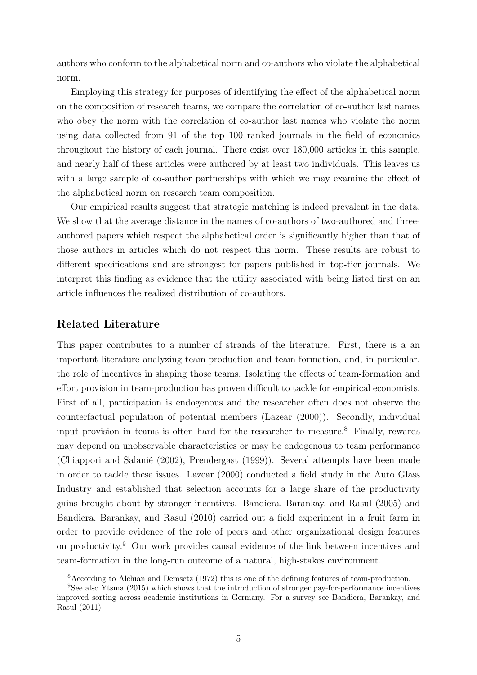authors who conform to the alphabetical norm and co-authors who violate the alphabetical norm.

Employing this strategy for purposes of identifying the effect of the alphabetical norm on the composition of research teams, we compare the correlation of co-author last names who obey the norm with the correlation of co-author last names who violate the norm using data collected from 91 of the top 100 ranked journals in the field of economics throughout the history of each journal. There exist over 180,000 articles in this sample, and nearly half of these articles were authored by at least two individuals. This leaves us with a large sample of co-author partnerships with which we may examine the effect of the alphabetical norm on research team composition.

Our empirical results suggest that strategic matching is indeed prevalent in the data. We show that the average distance in the names of co-authors of two-authored and threeauthored papers which respect the alphabetical order is significantly higher than that of those authors in articles which do not respect this norm. These results are robust to different specifications and are strongest for papers published in top-tier journals. We interpret this finding as evidence that the utility associated with being listed first on an article influences the realized distribution of co-authors.

#### Related Literature

This paper contributes to a number of strands of the literature. First, there is a an important literature analyzing team-production and team-formation, and, in particular, the role of incentives in shaping those teams. Isolating the effects of team-formation and effort provision in team-production has proven difficult to tackle for empirical economists. First of all, participation is endogenous and the researcher often does not observe the counterfactual population of potential members (Lazear (2000)). Secondly, individual input provision in teams is often hard for the researcher to measure.<sup>8</sup> Finally, rewards may depend on unobservable characteristics or may be endogenous to team performance (Chiappori and Salanié (2002), Prendergast (1999)). Several attempts have been made in order to tackle these issues. Lazear (2000) conducted a field study in the Auto Glass Industry and established that selection accounts for a large share of the productivity gains brought about by stronger incentives. Bandiera, Barankay, and Rasul (2005) and Bandiera, Barankay, and Rasul (2010) carried out a field experiment in a fruit farm in order to provide evidence of the role of peers and other organizational design features on productivity.<sup>9</sup> Our work provides causal evidence of the link between incentives and team-formation in the long-run outcome of a natural, high-stakes environment.

<sup>8</sup>According to Alchian and Demsetz (1972) this is one of the defining features of team-production.

<sup>9</sup>See also Ytsma (2015) which shows that the introduction of stronger pay-for-performance incentives improved sorting across academic institutions in Germany. For a survey see Bandiera, Barankay, and Rasul (2011)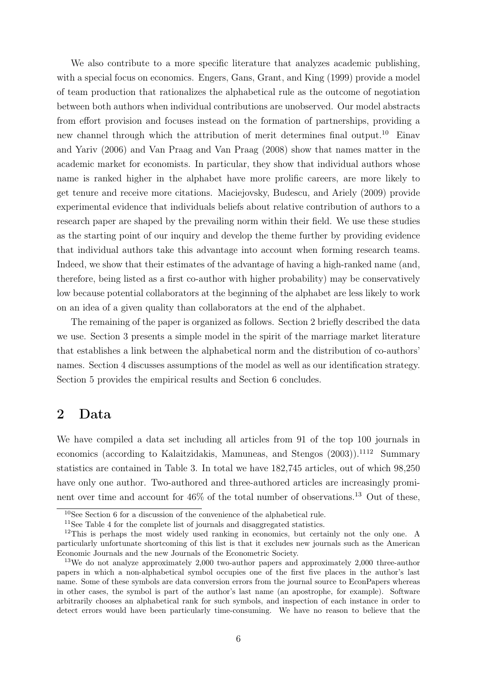We also contribute to a more specific literature that analyzes academic publishing, with a special focus on economics. Engers, Gans, Grant, and King (1999) provide a model of team production that rationalizes the alphabetical rule as the outcome of negotiation between both authors when individual contributions are unobserved. Our model abstracts from effort provision and focuses instead on the formation of partnerships, providing a new channel through which the attribution of merit determines final output.<sup>10</sup> Einav and Yariv (2006) and Van Praag and Van Praag (2008) show that names matter in the academic market for economists. In particular, they show that individual authors whose name is ranked higher in the alphabet have more prolific careers, are more likely to get tenure and receive more citations. Maciejovsky, Budescu, and Ariely (2009) provide experimental evidence that individuals beliefs about relative contribution of authors to a research paper are shaped by the prevailing norm within their field. We use these studies as the starting point of our inquiry and develop the theme further by providing evidence that individual authors take this advantage into account when forming research teams. Indeed, we show that their estimates of the advantage of having a high-ranked name (and, therefore, being listed as a first co-author with higher probability) may be conservatively low because potential collaborators at the beginning of the alphabet are less likely to work on an idea of a given quality than collaborators at the end of the alphabet.

The remaining of the paper is organized as follows. Section 2 briefly described the data we use. Section 3 presents a simple model in the spirit of the marriage market literature that establishes a link between the alphabetical norm and the distribution of co-authors' names. Section 4 discusses assumptions of the model as well as our identification strategy. Section 5 provides the empirical results and Section 6 concludes.

### 2 Data

We have compiled a data set including all articles from 91 of the top 100 journals in economics (according to Kalaitzidakis, Mamuneas, and Stengos  $(2003)$ ).<sup>1112</sup> Summary statistics are contained in Table 3. In total we have 182,745 articles, out of which 98,250 have only one author. Two-authored and three-authored articles are increasingly prominent over time and account for  $46\%$  of the total number of observations.<sup>13</sup> Out of these,

<sup>10</sup>See Section 6 for a discussion of the convenience of the alphabetical rule.

<sup>&</sup>lt;sup>11</sup>See Table 4 for the complete list of journals and disaggregated statistics.

<sup>&</sup>lt;sup>12</sup>This is perhaps the most widely used ranking in economics, but certainly not the only one. A particularly unfortunate shortcoming of this list is that it excludes new journals such as the American Economic Journals and the new Journals of the Econometric Society.

<sup>13</sup>We do not analyze approximately 2,000 two-author papers and approximately 2,000 three-author papers in which a non-alphabetical symbol occupies one of the first five places in the author's last name. Some of these symbols are data conversion errors from the journal source to EconPapers whereas in other cases, the symbol is part of the author's last name (an apostrophe, for example). Software arbitrarily chooses an alphabetical rank for such symbols, and inspection of each instance in order to detect errors would have been particularly time-consuming. We have no reason to believe that the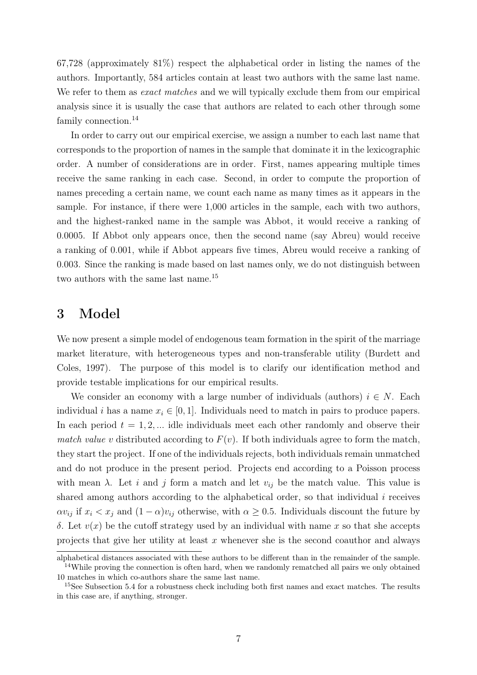67,728 (approximately 81%) respect the alphabetical order in listing the names of the authors. Importantly, 584 articles contain at least two authors with the same last name. We refer to them as *exact matches* and we will typically exclude them from our empirical analysis since it is usually the case that authors are related to each other through some family connection.<sup>14</sup>

In order to carry out our empirical exercise, we assign a number to each last name that corresponds to the proportion of names in the sample that dominate it in the lexicographic order. A number of considerations are in order. First, names appearing multiple times receive the same ranking in each case. Second, in order to compute the proportion of names preceding a certain name, we count each name as many times as it appears in the sample. For instance, if there were 1,000 articles in the sample, each with two authors, and the highest-ranked name in the sample was Abbot, it would receive a ranking of 0.0005. If Abbot only appears once, then the second name (say Abreu) would receive a ranking of 0.001, while if Abbot appears five times, Abreu would receive a ranking of 0.003. Since the ranking is made based on last names only, we do not distinguish between two authors with the same last name.<sup>15</sup>

### 3 Model

We now present a simple model of endogenous team formation in the spirit of the marriage market literature, with heterogeneous types and non-transferable utility (Burdett and Coles, 1997). The purpose of this model is to clarify our identification method and provide testable implications for our empirical results.

We consider an economy with a large number of individuals (authors)  $i \in N$ . Each individual i has a name  $x_i \in [0, 1]$ . Individuals need to match in pairs to produce papers. In each period  $t = 1, 2, \dots$  idle individuals meet each other randomly and observe their match value v distributed according to  $F(v)$ . If both individuals agree to form the match, they start the project. If one of the individuals rejects, both individuals remain unmatched and do not produce in the present period. Projects end according to a Poisson process with mean  $\lambda$ . Let i and j form a match and let  $v_{ij}$  be the match value. This value is shared among authors according to the alphabetical order, so that individual  $i$  receives  $\alpha v_{ij}$  if  $x_i < x_j$  and  $(1 - \alpha)v_{ij}$  otherwise, with  $\alpha \geq 0.5$ . Individuals discount the future by δ. Let  $v(x)$  be the cutoff strategy used by an individual with name x so that she accepts projects that give her utility at least  $x$  whenever she is the second coauthor and always

alphabetical distances associated with these authors to be different than in the remainder of the sample. <sup>14</sup>While proving the connection is often hard, when we randomly rematched all pairs we only obtained 10 matches in which co-authors share the same last name.

<sup>&</sup>lt;sup>15</sup>See Subsection 5.4 for a robustness check including both first names and exact matches. The results in this case are, if anything, stronger.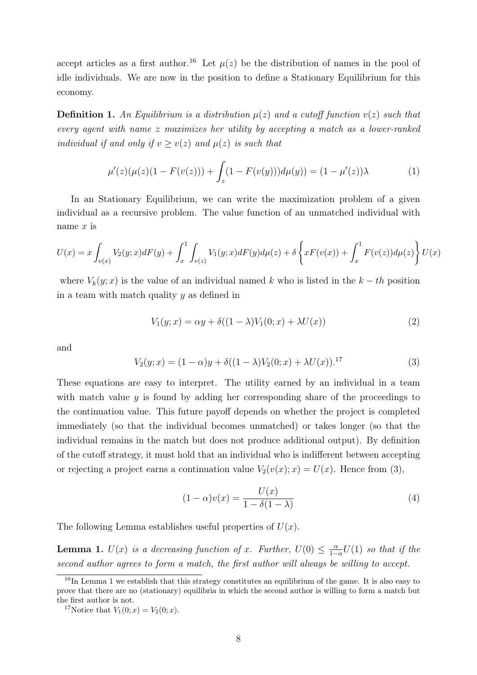accept articles as a first author.<sup>16</sup> Let  $\mu(z)$  be the distribution of names in the pool of idle individuals. We are now in the position to define a Stationary Equilibrium for this economy.

**Definition 1.** An Equilibrium is a distribution  $\mu(z)$  and a cutoff function  $v(z)$  such that every agent with name z maximizes her utility by accepting a match as a lower-ranked individual if and only if  $v \ge v(z)$  and  $\mu(z)$  is such that

$$
\mu'(z)(\mu(z)(1 - F(v(z))) + \int_z (1 - F(v(y)))d\mu(y)) = (1 - \mu'(z))\lambda
$$
\n(1)

In an Stationary Equilibrium, we can write the maximization problem of a given individual as a recursive problem. The value function of an unmatched individual with name  $x$  is

$$
U(x) = x \int_{v(x)} V_2(y; x) dF(y) + \int_x^1 \int_{v(z)} V_1(y; x) dF(y) d\mu(z) + \delta \left\{ x F(v(x)) + \int_x^1 F(v(z)) d\mu(z) \right\} U(x)
$$

where  $V_k(y; x)$  is the value of an individual named k who is listed in the  $k - th$  position in a team with match quality  $y$  as defined in

$$
V_1(y;x) = \alpha y + \delta((1-\lambda)V_1(0;x) + \lambda U(x))
$$
\n(2)

and

$$
V_2(y;x) = (1 - \alpha)y + \delta((1 - \lambda)V_2(0;x) + \lambda U(x))^{17}
$$
 (3)

These equations are easy to interpret. The utility earned by an individual in a team with match value y is found by adding her corresponding share of the proceedings to the continuation value. This future payoff depends on whether the project is completed immediately (so that the individual becomes unmatched) or takes longer (so that the individual remains in the match but does not produce additional output). By definition of the cutoff strategy, it must hold that an individual who is indifferent between accepting or rejecting a project earns a continuation value  $V_2(v(x); x) = U(x)$ . Hence from (3),

$$
(1 - \alpha)v(x) = \frac{U(x)}{1 - \delta(1 - \lambda)}
$$
\n(4)

The following Lemma establishes useful properties of  $U(x)$ .

**Lemma 1.**  $U(x)$  is a decreasing function of x. Further,  $U(0) \leq \frac{\alpha}{1-\alpha}$  $\frac{\alpha}{1-\alpha}U(1)$  so that if the second author agrees to form a match, the first author will always be willing to accept.

 $16$ In Lemma 1 we establish that this strategy constitutes an equilibrium of the game. It is also easy to prove that there are no (stationary) equilibria in which the second author is willing to form a match but the first author is not.

<sup>&</sup>lt;sup>17</sup>Notice that  $V_1(0; x) = V_2(0; x)$ .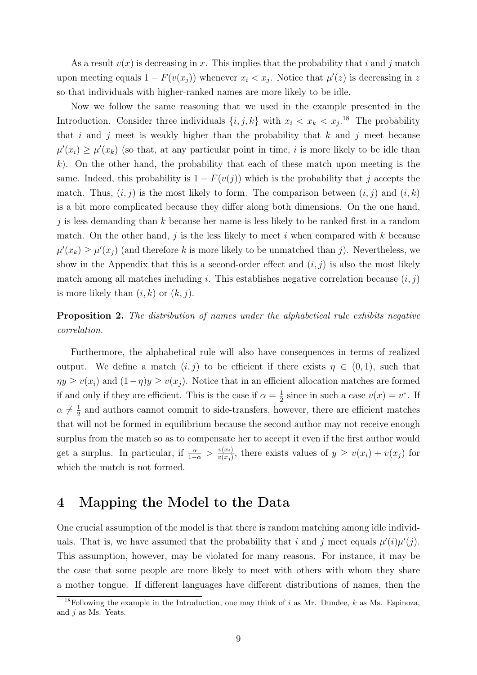As a result  $v(x)$  is decreasing in x. This implies that the probability that i and j match upon meeting equals  $1 - F(v(x_j))$  whenever  $x_i < x_j$ . Notice that  $\mu'(z)$  is decreasing in z so that individuals with higher-ranked names are more likely to be idle.

Now we follow the same reasoning that we used in the example presented in the Introduction. Consider three individuals  $\{i, j, k\}$  with  $x_i < x_k < x_j$ .<sup>18</sup> The probability that i and j meet is weakly higher than the probability that  $k$  and j meet because  $\mu'(x_i) \geq \mu'(x_k)$  (so that, at any particular point in time, i is more likely to be idle than  $k$ ). On the other hand, the probability that each of these match upon meeting is the same. Indeed, this probability is  $1 - F(v(j))$  which is the probability that j accepts the match. Thus,  $(i, j)$  is the most likely to form. The comparison between  $(i, j)$  and  $(i, k)$ is a bit more complicated because they differ along both dimensions. On the one hand, j is less demanding than  $k$  because her name is less likely to be ranked first in a random match. On the other hand,  $j$  is the less likely to meet  $i$  when compared with  $k$  because  $\mu'(x_k) \geq \mu'(x_j)$  (and therefore k is more likely to be unmatched than j). Nevertheless, we show in the Appendix that this is a second-order effect and  $(i, j)$  is also the most likely match among all matches including i. This establishes negative correlation because  $(i, j)$ is more likely than  $(i, k)$  or  $(k, j)$ .

Proposition 2. The distribution of names under the alphabetical rule exhibits negative correlation.

Furthermore, the alphabetical rule will also have consequences in terms of realized output. We define a match  $(i, j)$  to be efficient if there exists  $\eta \in (0, 1)$ , such that  $\eta y \geq v(x_i)$  and  $(1-\eta)y \geq v(x_j)$ . Notice that in an efficient allocation matches are formed if and only if they are efficient. This is the case if  $\alpha = \frac{1}{2}$  $\frac{1}{2}$  since in such a case  $v(x) = v^*$ . If  $\alpha \neq \frac{1}{2}$  $\frac{1}{2}$  and authors cannot commit to side-transfers, however, there are efficient matches that will not be formed in equilibrium because the second author may not receive enough surplus from the match so as to compensate her to accept it even if the first author would get a surplus. In particular, if  $\frac{\alpha}{1-\alpha} > \frac{v(x_i)}{v(x_i)}$  $\frac{v(x_i)}{v(x_j)}$ , there exists values of  $y \ge v(x_i) + v(x_j)$  for which the match is not formed.

### 4 Mapping the Model to the Data

One crucial assumption of the model is that there is random matching among idle individuals. That is, we have assumed that the probability that i and j meet equals  $\mu'(i)\mu'(j)$ . This assumption, however, may be violated for many reasons. For instance, it may be the case that some people are more likely to meet with others with whom they share a mother tongue. If different languages have different distributions of names, then the

<sup>&</sup>lt;sup>18</sup>Following the example in the Introduction, one may think of i as Mr. Dundee, k as Ms. Espinoza, and j as Ms. Yeats.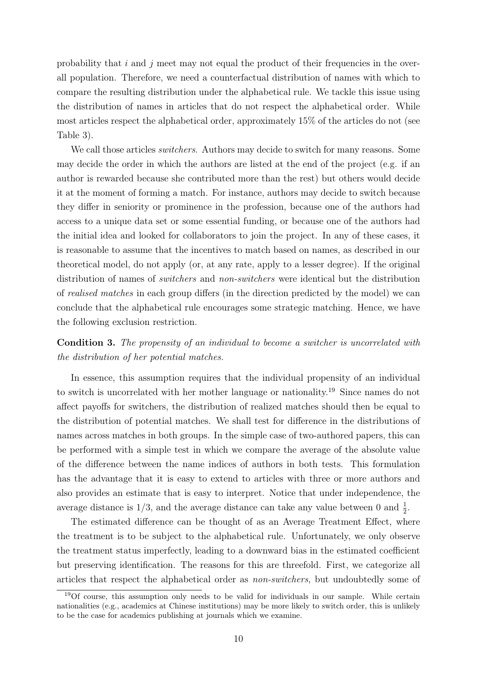probability that  $i$  and  $j$  meet may not equal the product of their frequencies in the overall population. Therefore, we need a counterfactual distribution of names with which to compare the resulting distribution under the alphabetical rule. We tackle this issue using the distribution of names in articles that do not respect the alphabetical order. While most articles respect the alphabetical order, approximately 15% of the articles do not (see Table 3).

We call those articles *switchers*. Authors may decide to switch for many reasons. Some may decide the order in which the authors are listed at the end of the project (e.g. if an author is rewarded because she contributed more than the rest) but others would decide it at the moment of forming a match. For instance, authors may decide to switch because they differ in seniority or prominence in the profession, because one of the authors had access to a unique data set or some essential funding, or because one of the authors had the initial idea and looked for collaborators to join the project. In any of these cases, it is reasonable to assume that the incentives to match based on names, as described in our theoretical model, do not apply (or, at any rate, apply to a lesser degree). If the original distribution of names of *switchers* and *non-switchers* were identical but the distribution of realised matches in each group differs (in the direction predicted by the model) we can conclude that the alphabetical rule encourages some strategic matching. Hence, we have the following exclusion restriction.

Condition 3. The propensity of an individual to become a switcher is uncorrelated with the distribution of her potential matches.

In essence, this assumption requires that the individual propensity of an individual to switch is uncorrelated with her mother language or nationality.<sup>19</sup> Since names do not affect payoffs for switchers, the distribution of realized matches should then be equal to the distribution of potential matches. We shall test for difference in the distributions of names across matches in both groups. In the simple case of two-authored papers, this can be performed with a simple test in which we compare the average of the absolute value of the difference between the name indices of authors in both tests. This formulation has the advantage that it is easy to extend to articles with three or more authors and also provides an estimate that is easy to interpret. Notice that under independence, the average distance is  $1/3$ , and the average distance can take any value between 0 and  $\frac{1}{2}$ .

The estimated difference can be thought of as an Average Treatment Effect, where the treatment is to be subject to the alphabetical rule. Unfortunately, we only observe the treatment status imperfectly, leading to a downward bias in the estimated coefficient but preserving identification. The reasons for this are threefold. First, we categorize all articles that respect the alphabetical order as non-switchers, but undoubtedly some of

<sup>19</sup>Of course, this assumption only needs to be valid for individuals in our sample. While certain nationalities (e.g., academics at Chinese institutions) may be more likely to switch order, this is unlikely to be the case for academics publishing at journals which we examine.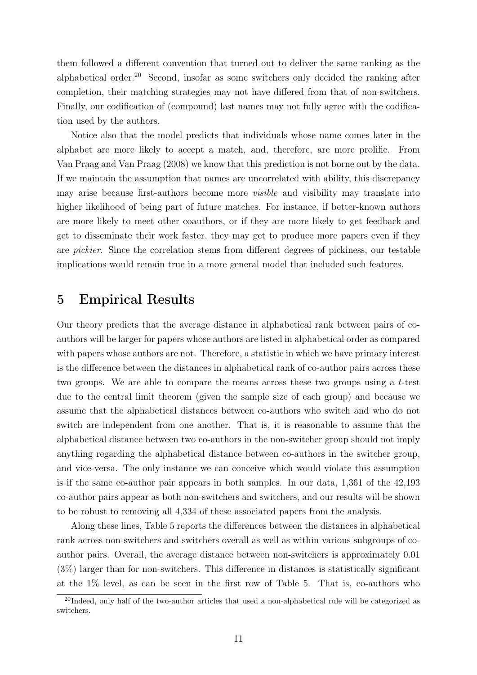them followed a different convention that turned out to deliver the same ranking as the alphabetical order.<sup>20</sup> Second, insofar as some switchers only decided the ranking after completion, their matching strategies may not have differed from that of non-switchers. Finally, our codification of (compound) last names may not fully agree with the codification used by the authors.

Notice also that the model predicts that individuals whose name comes later in the alphabet are more likely to accept a match, and, therefore, are more prolific. From Van Praag and Van Praag (2008) we know that this prediction is not borne out by the data. If we maintain the assumption that names are uncorrelated with ability, this discrepancy may arise because first-authors become more *visible* and visibility may translate into higher likelihood of being part of future matches. For instance, if better-known authors are more likely to meet other coauthors, or if they are more likely to get feedback and get to disseminate their work faster, they may get to produce more papers even if they are pickier. Since the correlation stems from different degrees of pickiness, our testable implications would remain true in a more general model that included such features.

### 5 Empirical Results

Our theory predicts that the average distance in alphabetical rank between pairs of coauthors will be larger for papers whose authors are listed in alphabetical order as compared with papers whose authors are not. Therefore, a statistic in which we have primary interest is the difference between the distances in alphabetical rank of co-author pairs across these two groups. We are able to compare the means across these two groups using a  $t$ -test due to the central limit theorem (given the sample size of each group) and because we assume that the alphabetical distances between co-authors who switch and who do not switch are independent from one another. That is, it is reasonable to assume that the alphabetical distance between two co-authors in the non-switcher group should not imply anything regarding the alphabetical distance between co-authors in the switcher group, and vice-versa. The only instance we can conceive which would violate this assumption is if the same co-author pair appears in both samples. In our data, 1,361 of the 42,193 co-author pairs appear as both non-switchers and switchers, and our results will be shown to be robust to removing all 4,334 of these associated papers from the analysis.

Along these lines, Table 5 reports the differences between the distances in alphabetical rank across non-switchers and switchers overall as well as within various subgroups of coauthor pairs. Overall, the average distance between non-switchers is approximately 0.01 (3%) larger than for non-switchers. This difference in distances is statistically significant at the 1% level, as can be seen in the first row of Table 5. That is, co-authors who

<sup>&</sup>lt;sup>20</sup>Indeed, only half of the two-author articles that used a non-alphabetical rule will be categorized as switchers.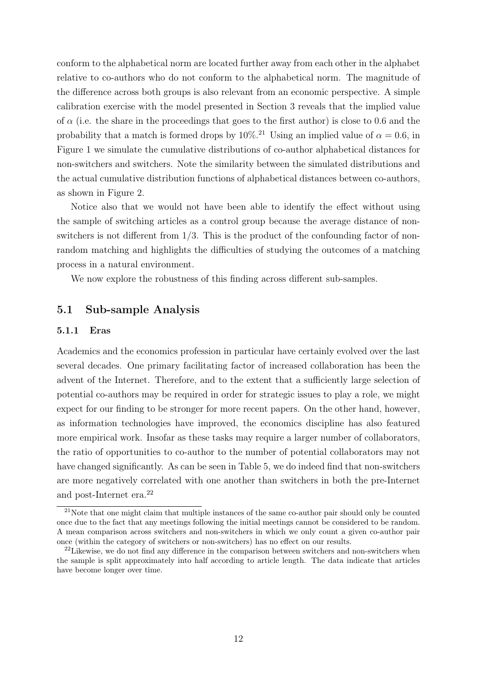conform to the alphabetical norm are located further away from each other in the alphabet relative to co-authors who do not conform to the alphabetical norm. The magnitude of the difference across both groups is also relevant from an economic perspective. A simple calibration exercise with the model presented in Section 3 reveals that the implied value of  $\alpha$  (i.e. the share in the proceedings that goes to the first author) is close to 0.6 and the probability that a match is formed drops by  $10\%$ .<sup>21</sup> Using an implied value of  $\alpha = 0.6$ , in Figure 1 we simulate the cumulative distributions of co-author alphabetical distances for non-switchers and switchers. Note the similarity between the simulated distributions and the actual cumulative distribution functions of alphabetical distances between co-authors, as shown in Figure 2.

Notice also that we would not have been able to identify the effect without using the sample of switching articles as a control group because the average distance of nonswitchers is not different from 1/3. This is the product of the confounding factor of nonrandom matching and highlights the difficulties of studying the outcomes of a matching process in a natural environment.

We now explore the robustness of this finding across different sub-samples.

#### 5.1 Sub-sample Analysis

#### 5.1.1 Eras

Academics and the economics profession in particular have certainly evolved over the last several decades. One primary facilitating factor of increased collaboration has been the advent of the Internet. Therefore, and to the extent that a sufficiently large selection of potential co-authors may be required in order for strategic issues to play a role, we might expect for our finding to be stronger for more recent papers. On the other hand, however, as information technologies have improved, the economics discipline has also featured more empirical work. Insofar as these tasks may require a larger number of collaborators, the ratio of opportunities to co-author to the number of potential collaborators may not have changed significantly. As can be seen in Table 5, we do indeed find that non-switchers are more negatively correlated with one another than switchers in both the pre-Internet and post-Internet era.<sup>22</sup>

 $21$ Note that one might claim that multiple instances of the same co-author pair should only be counted once due to the fact that any meetings following the initial meetings cannot be considered to be random. A mean comparison across switchers and non-switchers in which we only count a given co-author pair once (within the category of switchers or non-switchers) has no effect on our results.

<sup>&</sup>lt;sup>22</sup>Likewise, we do not find any difference in the comparison between switchers and non-switchers when the sample is split approximately into half according to article length. The data indicate that articles have become longer over time.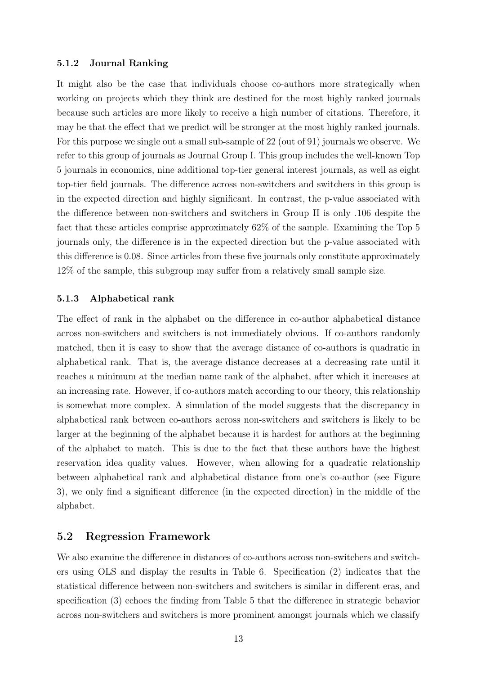#### 5.1.2 Journal Ranking

It might also be the case that individuals choose co-authors more strategically when working on projects which they think are destined for the most highly ranked journals because such articles are more likely to receive a high number of citations. Therefore, it may be that the effect that we predict will be stronger at the most highly ranked journals. For this purpose we single out a small sub-sample of 22 (out of 91) journals we observe. We refer to this group of journals as Journal Group I. This group includes the well-known Top 5 journals in economics, nine additional top-tier general interest journals, as well as eight top-tier field journals. The difference across non-switchers and switchers in this group is in the expected direction and highly significant. In contrast, the p-value associated with the difference between non-switchers and switchers in Group II is only .106 despite the fact that these articles comprise approximately 62% of the sample. Examining the Top 5 journals only, the difference is in the expected direction but the p-value associated with this difference is 0.08. Since articles from these five journals only constitute approximately 12% of the sample, this subgroup may suffer from a relatively small sample size.

#### 5.1.3 Alphabetical rank

The effect of rank in the alphabet on the difference in co-author alphabetical distance across non-switchers and switchers is not immediately obvious. If co-authors randomly matched, then it is easy to show that the average distance of co-authors is quadratic in alphabetical rank. That is, the average distance decreases at a decreasing rate until it reaches a minimum at the median name rank of the alphabet, after which it increases at an increasing rate. However, if co-authors match according to our theory, this relationship is somewhat more complex. A simulation of the model suggests that the discrepancy in alphabetical rank between co-authors across non-switchers and switchers is likely to be larger at the beginning of the alphabet because it is hardest for authors at the beginning of the alphabet to match. This is due to the fact that these authors have the highest reservation idea quality values. However, when allowing for a quadratic relationship between alphabetical rank and alphabetical distance from one's co-author (see Figure 3), we only find a significant difference (in the expected direction) in the middle of the alphabet.

#### 5.2 Regression Framework

We also examine the difference in distances of co-authors across non-switchers and switchers using OLS and display the results in Table 6. Specification (2) indicates that the statistical difference between non-switchers and switchers is similar in different eras, and specification (3) echoes the finding from Table 5 that the difference in strategic behavior across non-switchers and switchers is more prominent amongst journals which we classify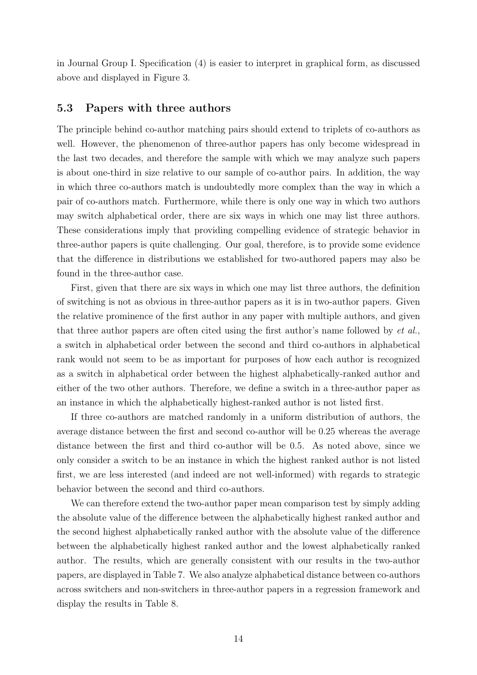in Journal Group I. Specification (4) is easier to interpret in graphical form, as discussed above and displayed in Figure 3.

#### 5.3 Papers with three authors

The principle behind co-author matching pairs should extend to triplets of co-authors as well. However, the phenomenon of three-author papers has only become widespread in the last two decades, and therefore the sample with which we may analyze such papers is about one-third in size relative to our sample of co-author pairs. In addition, the way in which three co-authors match is undoubtedly more complex than the way in which a pair of co-authors match. Furthermore, while there is only one way in which two authors may switch alphabetical order, there are six ways in which one may list three authors. These considerations imply that providing compelling evidence of strategic behavior in three-author papers is quite challenging. Our goal, therefore, is to provide some evidence that the difference in distributions we established for two-authored papers may also be found in the three-author case.

First, given that there are six ways in which one may list three authors, the definition of switching is not as obvious in three-author papers as it is in two-author papers. Given the relative prominence of the first author in any paper with multiple authors, and given that three author papers are often cited using the first author's name followed by et al., a switch in alphabetical order between the second and third co-authors in alphabetical rank would not seem to be as important for purposes of how each author is recognized as a switch in alphabetical order between the highest alphabetically-ranked author and either of the two other authors. Therefore, we define a switch in a three-author paper as an instance in which the alphabetically highest-ranked author is not listed first.

If three co-authors are matched randomly in a uniform distribution of authors, the average distance between the first and second co-author will be 0.25 whereas the average distance between the first and third co-author will be 0.5. As noted above, since we only consider a switch to be an instance in which the highest ranked author is not listed first, we are less interested (and indeed are not well-informed) with regards to strategic behavior between the second and third co-authors.

We can therefore extend the two-author paper mean comparison test by simply adding the absolute value of the difference between the alphabetically highest ranked author and the second highest alphabetically ranked author with the absolute value of the difference between the alphabetically highest ranked author and the lowest alphabetically ranked author. The results, which are generally consistent with our results in the two-author papers, are displayed in Table 7. We also analyze alphabetical distance between co-authors across switchers and non-switchers in three-author papers in a regression framework and display the results in Table 8.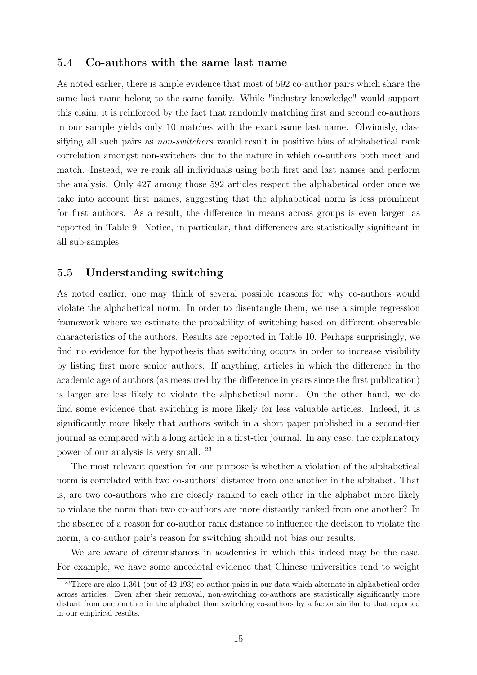#### 5.4 Co-authors with the same last name

As noted earlier, there is ample evidence that most of 592 co-author pairs which share the same last name belong to the same family. While "industry knowledge" would support this claim, it is reinforced by the fact that randomly matching first and second co-authors in our sample yields only 10 matches with the exact same last name. Obviously, classifying all such pairs as non-switchers would result in positive bias of alphabetical rank correlation amongst non-switchers due to the nature in which co-authors both meet and match. Instead, we re-rank all individuals using both first and last names and perform the analysis. Only 427 among those 592 articles respect the alphabetical order once we take into account first names, suggesting that the alphabetical norm is less prominent for first authors. As a result, the difference in means across groups is even larger, as reported in Table 9. Notice, in particular, that differences are statistically significant in all sub-samples.

#### 5.5 Understanding switching

As noted earlier, one may think of several possible reasons for why co-authors would violate the alphabetical norm. In order to disentangle them, we use a simple regression framework where we estimate the probability of switching based on different observable characteristics of the authors. Results are reported in Table 10. Perhaps surprisingly, we find no evidence for the hypothesis that switching occurs in order to increase visibility by listing first more senior authors. If anything, articles in which the difference in the academic age of authors (as measured by the difference in years since the first publication) is larger are less likely to violate the alphabetical norm. On the other hand, we do find some evidence that switching is more likely for less valuable articles. Indeed, it is significantly more likely that authors switch in a short paper published in a second-tier journal as compared with a long article in a first-tier journal. In any case, the explanatory power of our analysis is very small. <sup>23</sup>

The most relevant question for our purpose is whether a violation of the alphabetical norm is correlated with two co-authors' distance from one another in the alphabet. That is, are two co-authors who are closely ranked to each other in the alphabet more likely to violate the norm than two co-authors are more distantly ranked from one another? In the absence of a reason for co-author rank distance to influence the decision to violate the norm, a co-author pair's reason for switching should not bias our results.

We are aware of circumstances in academics in which this indeed may be the case. For example, we have some anecdotal evidence that Chinese universities tend to weight

<sup>23</sup>There are also 1,361 (out of 42,193) co-author pairs in our data which alternate in alphabetical order across articles. Even after their removal, non-switching co-authors are statistically significantly more distant from one another in the alphabet than switching co-authors by a factor similar to that reported in our empirical results.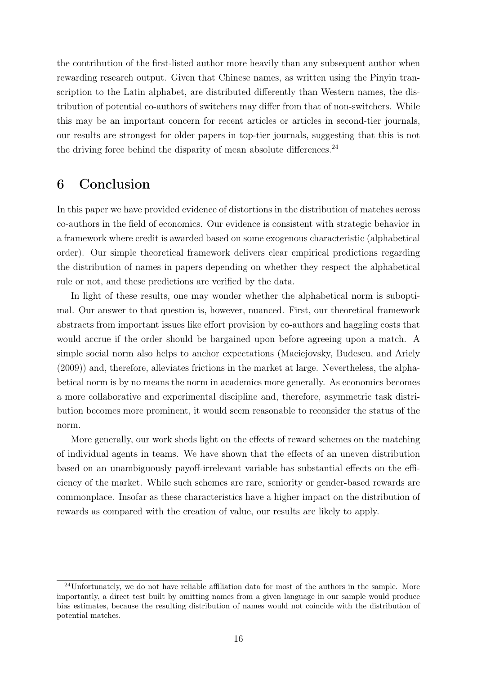the contribution of the first-listed author more heavily than any subsequent author when rewarding research output. Given that Chinese names, as written using the Pinyin transcription to the Latin alphabet, are distributed differently than Western names, the distribution of potential co-authors of switchers may differ from that of non-switchers. While this may be an important concern for recent articles or articles in second-tier journals, our results are strongest for older papers in top-tier journals, suggesting that this is not the driving force behind the disparity of mean absolute differences.<sup>24</sup>

### 6 Conclusion

In this paper we have provided evidence of distortions in the distribution of matches across co-authors in the field of economics. Our evidence is consistent with strategic behavior in a framework where credit is awarded based on some exogenous characteristic (alphabetical order). Our simple theoretical framework delivers clear empirical predictions regarding the distribution of names in papers depending on whether they respect the alphabetical rule or not, and these predictions are verified by the data.

In light of these results, one may wonder whether the alphabetical norm is suboptimal. Our answer to that question is, however, nuanced. First, our theoretical framework abstracts from important issues like effort provision by co-authors and haggling costs that would accrue if the order should be bargained upon before agreeing upon a match. A simple social norm also helps to anchor expectations (Maciejovsky, Budescu, and Ariely (2009)) and, therefore, alleviates frictions in the market at large. Nevertheless, the alphabetical norm is by no means the norm in academics more generally. As economics becomes a more collaborative and experimental discipline and, therefore, asymmetric task distribution becomes more prominent, it would seem reasonable to reconsider the status of the norm.

More generally, our work sheds light on the effects of reward schemes on the matching of individual agents in teams. We have shown that the effects of an uneven distribution based on an unambiguously payoff-irrelevant variable has substantial effects on the efficiency of the market. While such schemes are rare, seniority or gender-based rewards are commonplace. Insofar as these characteristics have a higher impact on the distribution of rewards as compared with the creation of value, our results are likely to apply.

<sup>24</sup>Unfortunately, we do not have reliable affiliation data for most of the authors in the sample. More importantly, a direct test built by omitting names from a given language in our sample would produce bias estimates, because the resulting distribution of names would not coincide with the distribution of potential matches.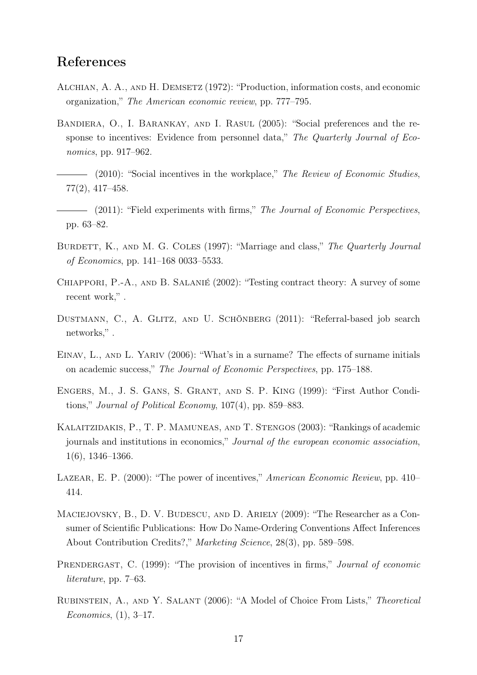### References

- Alchian, A. A., and H. Demsetz (1972): "Production, information costs, and economic organization," The American economic review, pp. 777–795.
- Bandiera, O., I. Barankay, and I. Rasul (2005): "Social preferences and the response to incentives: Evidence from personnel data," The Quarterly Journal of Economics, pp. 917–962.
- $\hspace{1.5cm}$  (2010): "Social incentives in the workplace," The Review of Economic Studies, 77(2), 417–458.
- (2011): "Field experiments with firms," The Journal of Economic Perspectives, pp. 63–82.
- BURDETT, K., AND M. G. COLES (1997): "Marriage and class," The Quarterly Journal of Economics, pp. 141–168 0033–5533.
- Chiappori, P.-A., and B. Salanié (2002): "Testing contract theory: A survey of some recent work,".
- Dustmann, C., A. Glitz, and U. Schönberg (2011): "Referral-based job search networks,".
- EINAV, L., AND L. YARIV (2006): "What's in a surname? The effects of surname initials on academic success," The Journal of Economic Perspectives, pp. 175–188.
- Engers, M., J. S. Gans, S. Grant, and S. P. King (1999): "First Author Conditions," Journal of Political Economy, 107(4), pp. 859–883.
- Kalaitzidakis, P., T. P. Mamuneas, and T. Stengos (2003): "Rankings of academic journals and institutions in economics," Journal of the european economic association, 1(6), 1346–1366.
- LAZEAR, E. P. (2000): "The power of incentives," American Economic Review, pp. 410– 414.
- MACIEJOVSKY, B., D. V. BUDESCU, AND D. ARIELY (2009): "The Researcher as a Consumer of Scientific Publications: How Do Name-Ordering Conventions Affect Inferences About Contribution Credits?," Marketing Science, 28(3), pp. 589–598.
- PRENDERGAST, C. (1999): "The provision of incentives in firms," *Journal of economic* literature, pp. 7–63.
- Rubinstein, A., and Y. Salant (2006): "A Model of Choice From Lists," Theoretical Economics, (1), 3–17.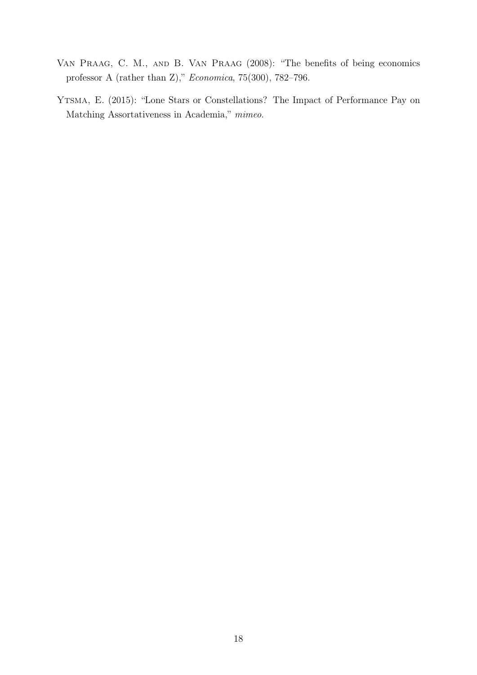- Van Praag, C. M., and B. Van Praag (2008): "The benefits of being economics professor A (rather than Z)," Economica, 75(300), 782–796.
- Ytsma, E. (2015): "Lone Stars or Constellations? The Impact of Performance Pay on Matching Assortativeness in Academia," mimeo.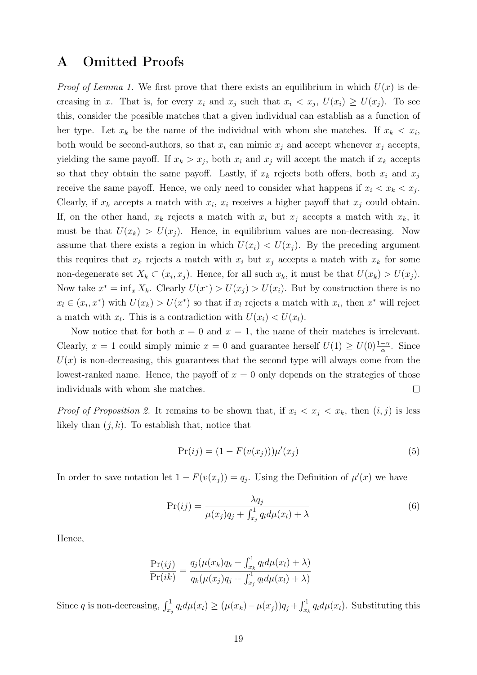### A Omitted Proofs

*Proof of Lemma 1.* We first prove that there exists an equilibrium in which  $U(x)$  is decreasing in x. That is, for every  $x_i$  and  $x_j$  such that  $x_i < x_j$ ,  $U(x_i) \ge U(x_j)$ . To see this, consider the possible matches that a given individual can establish as a function of her type. Let  $x_k$  be the name of the individual with whom she matches. If  $x_k < x_i$ , both would be second-authors, so that  $x_i$  can mimic  $x_j$  and accept whenever  $x_j$  accepts, yielding the same payoff. If  $x_k > x_j$ , both  $x_i$  and  $x_j$  will accept the match if  $x_k$  accepts so that they obtain the same payoff. Lastly, if  $x_k$  rejects both offers, both  $x_i$  and  $x_j$ receive the same payoff. Hence, we only need to consider what happens if  $x_i < x_k < x_j$ . Clearly, if  $x_k$  accepts a match with  $x_i$ ,  $x_i$  receives a higher payoff that  $x_j$  could obtain. If, on the other hand,  $x_k$  rejects a match with  $x_i$  but  $x_j$  accepts a match with  $x_k$ , it must be that  $U(x_k) > U(x_i)$ . Hence, in equilibrium values are non-decreasing. Now assume that there exists a region in which  $U(x_i) < U(x_j)$ . By the preceding argument this requires that  $x_k$  rejects a match with  $x_i$  but  $x_j$  accepts a match with  $x_k$  for some non-degenerate set  $X_k \subset (x_i, x_j)$ . Hence, for all such  $x_k$ , it must be that  $U(x_k) > U(x_j)$ . Now take  $x^* = \inf_x X_k$ . Clearly  $U(x^*) > U(x_j) > U(x_i)$ . But by construction there is no  $x_l \in (x_i, x^*)$  with  $U(x_k) > U(x^*)$  so that if  $x_l$  rejects a match with  $x_i$ , then  $x^*$  will reject a match with  $x_l$ . This is a contradiction with  $U(x_i) < U(x_l)$ .

Now notice that for both  $x = 0$  and  $x = 1$ , the name of their matches is irrelevant. Clearly,  $x = 1$  could simply mimic  $x = 0$  and guarantee herself  $U(1) \geq U(0) \frac{1-\alpha}{\alpha}$ . Since  $U(x)$  is non-decreasing, this guarantees that the second type will always come from the lowest-ranked name. Hence, the payoff of  $x = 0$  only depends on the strategies of those individuals with whom she matches.  $\Box$ 

*Proof of Proposition 2.* It remains to be shown that, if  $x_i < x_j < x_k$ , then  $(i, j)$  is less likely than  $(j, k)$ . To establish that, notice that

$$
Pr(ij) = (1 - F(v(x_j)))\mu'(x_j)
$$
\n(5)

In order to save notation let  $1 - F(v(x_j)) = q_j$ . Using the Definition of  $\mu'(x)$  we have

$$
Pr(ij) = \frac{\lambda q_j}{\mu(x_j)q_j + \int_{x_j}^1 q_l d\mu(x_l) + \lambda}
$$
\n(6)

Hence,

$$
\frac{\Pr(ij)}{\Pr(ik)} = \frac{q_j(\mu(x_k)q_k + \int_{x_k}^1 q_l d\mu(x_l) + \lambda)}{q_k(\mu(x_j)q_j + \int_{x_j}^1 q_l d\mu(x_l) + \lambda)}
$$

Since q is non-decreasing,  $\int_{x_j}^1 q_l d\mu(x_l) \geq (\mu(x_k) - \mu(x_j))q_j + \int_{x_k}^1 q_l d\mu(x_l)$ . Substituting this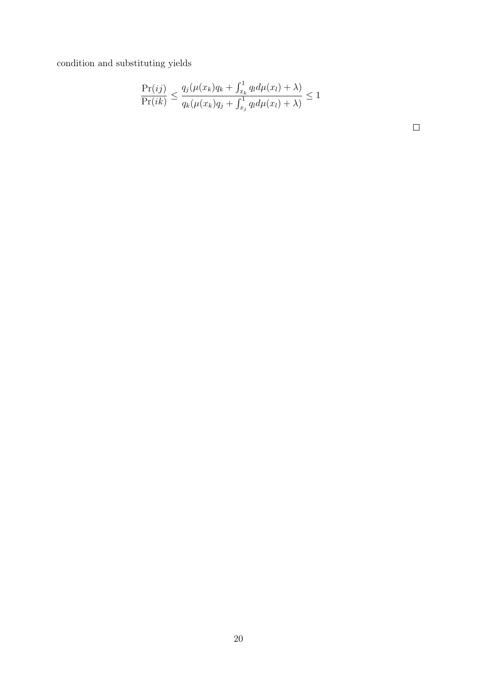condition and substituting yields

$$
\frac{\Pr(ij)}{\Pr(ik)} \le \frac{q_j(\mu(x_k)q_k + \int_{x_k}^1 q_l d\mu(x_l) + \lambda)}{q_k(\mu(x_k)q_j + \int_{x_j}^1 q_l d\mu(x_l) + \lambda)} \le 1
$$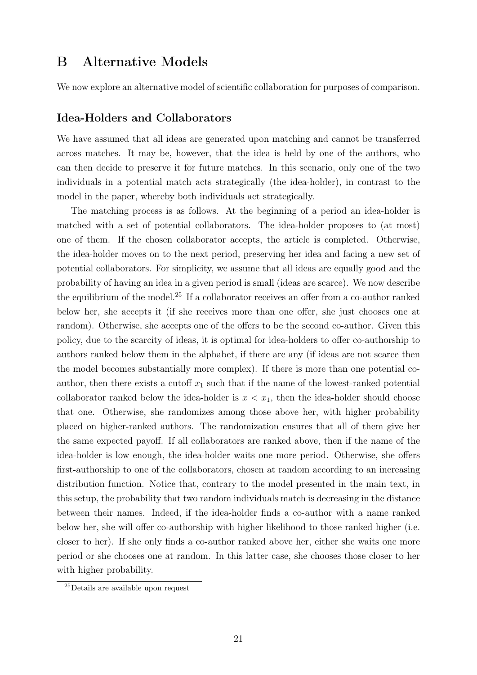### B Alternative Models

We now explore an alternative model of scientific collaboration for purposes of comparison.

#### Idea-Holders and Collaborators

We have assumed that all ideas are generated upon matching and cannot be transferred across matches. It may be, however, that the idea is held by one of the authors, who can then decide to preserve it for future matches. In this scenario, only one of the two individuals in a potential match acts strategically (the idea-holder), in contrast to the model in the paper, whereby both individuals act strategically.

The matching process is as follows. At the beginning of a period an idea-holder is matched with a set of potential collaborators. The idea-holder proposes to (at most) one of them. If the chosen collaborator accepts, the article is completed. Otherwise, the idea-holder moves on to the next period, preserving her idea and facing a new set of potential collaborators. For simplicity, we assume that all ideas are equally good and the probability of having an idea in a given period is small (ideas are scarce). We now describe the equilibrium of the model.<sup>25</sup> If a collaborator receives an offer from a co-author ranked below her, she accepts it (if she receives more than one offer, she just chooses one at random). Otherwise, she accepts one of the offers to be the second co-author. Given this policy, due to the scarcity of ideas, it is optimal for idea-holders to offer co-authorship to authors ranked below them in the alphabet, if there are any (if ideas are not scarce then the model becomes substantially more complex). If there is more than one potential coauthor, then there exists a cutoff  $x_1$  such that if the name of the lowest-ranked potential collaborator ranked below the idea-holder is  $x < x_1$ , then the idea-holder should choose that one. Otherwise, she randomizes among those above her, with higher probability placed on higher-ranked authors. The randomization ensures that all of them give her the same expected payoff. If all collaborators are ranked above, then if the name of the idea-holder is low enough, the idea-holder waits one more period. Otherwise, she offers first-authorship to one of the collaborators, chosen at random according to an increasing distribution function. Notice that, contrary to the model presented in the main text, in this setup, the probability that two random individuals match is decreasing in the distance between their names. Indeed, if the idea-holder finds a co-author with a name ranked below her, she will offer co-authorship with higher likelihood to those ranked higher (i.e. closer to her). If she only finds a co-author ranked above her, either she waits one more period or she chooses one at random. In this latter case, she chooses those closer to her with higher probability.

<sup>25</sup>Details are available upon request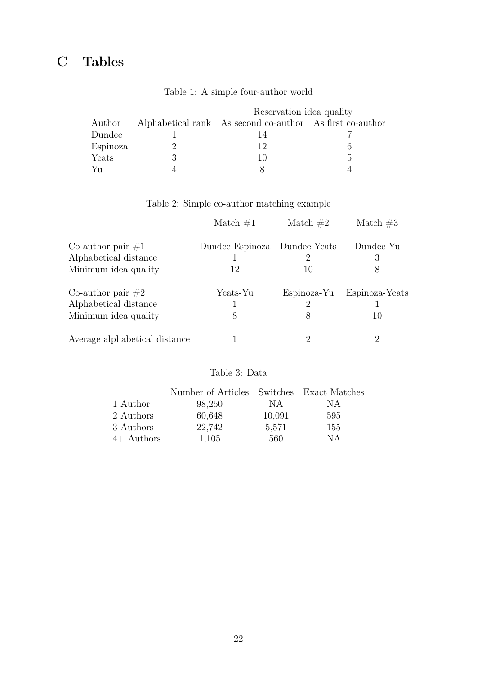## C Tables

|          | Reservation idea quality                                 |    |
|----------|----------------------------------------------------------|----|
| Author   | Alphabetical rank As second co-author As first co-author |    |
| Dundee   |                                                          |    |
| Espinoza | 19.                                                      |    |
| Yeats    | $\mathbf{I}(\mathbf{I})$                                 | h. |
| Yu       |                                                          |    |

#### Table 1: A simple four-author world

Table 2: Simple co-author matching example

|                                               | Match $\#1$     | Match $#2$                     | Match $#3$     |
|-----------------------------------------------|-----------------|--------------------------------|----------------|
| Co-author pair $\#1$<br>Alphabetical distance | Dundee-Espinoza | Dundee-Yeats<br>$\overline{2}$ | Dundee-Yu<br>3 |
| Minimum idea quality                          | 12              | 10                             | 8              |
| Co-author pair $#2$                           | Yeats-Yu        | Espinoza-Yu                    | Espinoza-Yeats |
| Alphabetical distance                         |                 | 2                              |                |
| Minimum idea quality                          | 8               | 8                              | 10             |
| Average alphabetical distance                 |                 | 2                              | 2              |

#### Table 3: Data

|              | Number of Articles Switches Exact Matches |        |     |
|--------------|-------------------------------------------|--------|-----|
| 1 Author     | 98,250                                    | NA     | NА  |
| 2 Authors    | 60,648                                    | 10,091 | 595 |
| 3 Authors    | 22,742                                    | 5,571  | 155 |
| $4+$ Authors | 1,105                                     | 560    | NА  |
|              |                                           |        |     |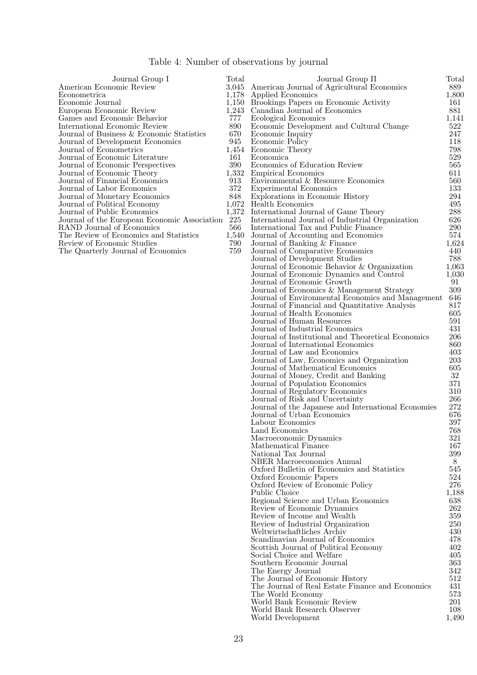| Table 4: Number of observations by journal |  |  |
|--------------------------------------------|--|--|
|--------------------------------------------|--|--|

| Journal Group I                              | Total | Journal Group II                                 | Total     |
|----------------------------------------------|-------|--------------------------------------------------|-----------|
| American Economic Review                     |       | 3,045 American Journal of Agricultural Economics | 889       |
| Econometrica                                 |       | 1,178 Applied Economics                          | 1,800     |
| Economic Journal                             |       | 1,150 Brookings Papers on Economic Activity      | 161       |
| European Economic Review                     |       | 1,243 Canadian Journal of Economics              | 881       |
| Games and Economic Behavior                  | 777   | Ecological Economics                             | 1,141     |
| International Economic Review                | 890   | Economic Development and Cultural Change         | 522       |
| Journal of Business & Economic Statistics    | 670   | Economic Inquiry                                 | 247       |
| Journal of Development Economics             | 945   | Economic Policy                                  | 118       |
| Journal of Econometrics                      |       | 1,454 Economic Theory                            | 798       |
| Journal of Economic Literature               | 161   | Economica                                        | 529       |
| Journal of Economic Perspectives             | 390   | Economics of Education Review                    | 565       |
| Journal of Economic Theory                   |       | 1,332 Empirical Economics                        | 611       |
| Journal of Financial Economics               | 913   | Environmental & Resource Economics               | 560       |
| Journal of Labor Economics                   | 372   | Experimental Economics                           | 133       |
| Journal of Monetary Economics                | 848   | Explorations in Economic History                 | 294       |
| Journal of Political Economy                 |       | 1,072 Health Economics                           | 495       |
| Journal of Public Economics                  |       | 1,372 International Journal of Game Theory       | 288       |
| Journal of the European Economic Association | 225   | International Journal of Industrial Organization | 626       |
| RAND Journal of Economics                    | 566   | International Tax and Public Finance             | 290       |
| The Review of Economics and Statistics       |       | 1,540 Journal of Accounting and Economics        | 574       |
| Review of Economic Studies                   | 790   | Journal of Banking & Finance                     | $1,\!624$ |
| The Quarterly Journal of Economics           | 759   | Journal of Comparative Economics                 | 440       |
|                                              |       | Journal of Development Studies                   | 788       |
|                                              |       | Journal of Economic Behavior & Organization      | $1,\!063$ |

Journal of International Economics

Southern Economic Journal

The World Economy

World Development

The Journal of Economic History

Journal of Economic Dynamics and Control 1,030 Journal of Economic Growth 91<br>Journal of Economics & Management Strategy 809 Journal of Economics & Management Strategy 309 Journal of Environmental Economics and Management 646 Journal of Financial and Quantitative Analysis 817<br>Journal of Health Economics 605 Journal of Health Economics 605 Journal of Human Resources 591 Journal of Industrial Economics 431 Journal of Institutional and Theoretical Economics 206

Journal of Law and Economics 403<br>Journal of Law, Economics and Organization 203 Journal of Law, Economics and Organization 203 Journal of Mathematical Economics 605<br>Journal of Money. Credit and Banking 62 Journal of Money, Credit and Banking 32<br>Journal of Population Economics 371 Journal of Population Economics 371<br>Journal of Regulatory Economics 310 Journal of Regulatory Economics 310 Journal of Risk and Uncertainty 266<br>Journal of the Japanese and International Economies 272 Journal of the Japanese and International Economies 272 Journal of Urban Economics 676<br>Labour Economics 397 Labour Economics 397<br>
Land Economics 397 Land Economics 768<br>Macroeconomic Dynamics 768<br>321 Macroeconomic Dynamics 321<br>Mathematical Finance 3167 Mathematical Finance 167<br>National Tax Journal 167 National Tax Journal 399<br>NBER Macroeconomics Annual 38 NBER Macroeconomics Annual 8<br>
Oxford Bulletin of Economics and Statistics 545 Oxford Bulletin of Economics and Statistics 545<br>Oxford Economic Papers 524 Oxford Economic Papers 524<br>Oxford Review of Economic Policy 5276 Oxford Review of Economic Policy 276<br>Public Choice 1.188 Public Choice 1,188<br>Regional Science and Urban Economics 638 Regional Science and Urban Economics 638<br>Review of Economic Dynamics 262 Review of Economic Dynamics 262<br>Review of Income and Wealth 359 Review of Income and Wealth 359<br>Review of Industrial Organization 250 Review of Industrial Organization 250<br>Weltwirtschaftliches Archiv 230<br>430 Weltwirtschaftliches Archiv 430 Scandinavian Journal of Economics 478<br>Scottish Journal of Political Economy 402 Scottish Journal of Political Economy 402<br>Social Choice and Welfare 405 Social Choice and Welfare 105 (1995) 100 (1996) 100 (1996) 100 (1996) 100 (1996) 100 (1996) 100 (1996) 100 (1996) 100 (1996) 100 (1996) 100 (1996) 100 (1996) 100 (1996) 100 (1996) 100 (1996) 100 (1996) 100 (1996) 100 (1996

The Energy Journal 342<br>The Journal of Economic History 512

The Journal of Real Estate Finance and Economics 431<br>The World Economy 573

World Bank Economic Review 201 World Bank Research Observer 108<br>World Development 1,490

| ۰.<br>۰. |
|----------|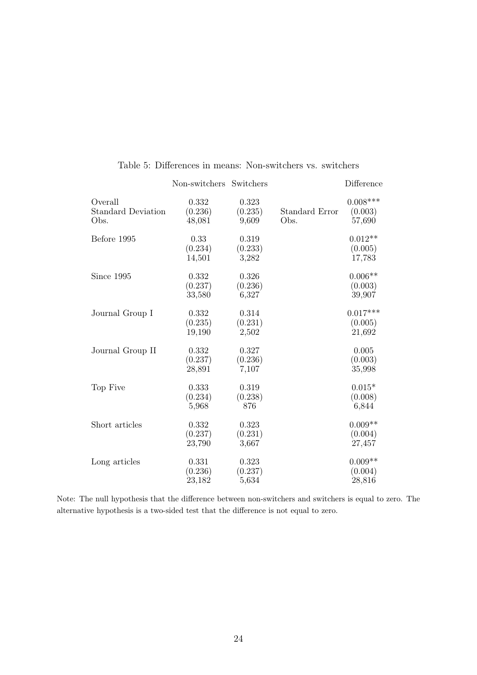|                                              | Non-switchers              | Switchers                 |                        | Difference                      |
|----------------------------------------------|----------------------------|---------------------------|------------------------|---------------------------------|
| Overall<br><b>Standard Deviation</b><br>Obs. | 0.332<br>(0.236)<br>48,081 | 0.323<br>(0.235)<br>9,609 | Standard Error<br>Obs. | $0.008***$<br>(0.003)<br>57,690 |
| Before 1995                                  | 0.33<br>(0.234)<br>14,501  | 0.319<br>(0.233)<br>3,282 |                        | $0.012**$<br>(0.005)<br>17,783  |
| Since 1995                                   | 0.332<br>(0.237)<br>33,580 | 0.326<br>(0.236)<br>6,327 |                        | $0.006**$<br>(0.003)<br>39,907  |
| Journal Group I                              | 0.332<br>(0.235)<br>19,190 | 0.314<br>(0.231)<br>2,502 |                        | $0.017***$<br>(0.005)<br>21,692 |
| Journal Group II                             | 0.332<br>(0.237)<br>28,891 | 0.327<br>(0.236)<br>7,107 |                        | 0.005<br>(0.003)<br>35,998      |
| Top Five                                     | 0.333<br>(0.234)<br>5,968  | 0.319<br>(0.238)<br>876   |                        | $0.015*$<br>(0.008)<br>6,844    |
| Short articles                               | 0.332<br>(0.237)<br>23,790 | 0.323<br>(0.231)<br>3,667 |                        | $0.009**$<br>(0.004)<br>27,457  |
| Long articles                                | 0.331<br>(0.236)<br>23,182 | 0.323<br>(0.237)<br>5,634 |                        | $0.009**$<br>(0.004)<br>28,816  |

#### Table 5: Differences in means: Non-switchers vs. switchers

Note: The null hypothesis that the difference between non-switchers and switchers is equal to zero. The alternative hypothesis is a two-sided test that the difference is not equal to zero.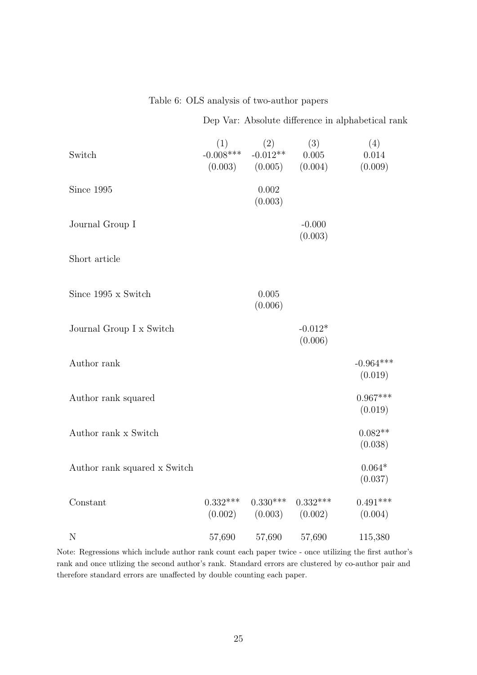Table 6: OLS analysis of two-author papers

Dep Var: Absolute difference in alphabetical rank

| Switch                       | (1)<br>$-0.008***$    | (2)<br>$-0.012**$<br>$(0.003)$ $(0.005)$ | (3)<br>0.005<br>(0.004) | (4)<br>0.014<br>(0.009) |
|------------------------------|-----------------------|------------------------------------------|-------------------------|-------------------------|
| Since 1995                   |                       | 0.002<br>(0.003)                         |                         |                         |
| Journal Group I              |                       |                                          | $-0.000$<br>(0.003)     |                         |
| Short article                |                       |                                          |                         |                         |
| Since 1995 x Switch          |                       | 0.005<br>(0.006)                         |                         |                         |
| Journal Group I x Switch     |                       |                                          | $-0.012*$<br>(0.006)    |                         |
| Author rank                  |                       |                                          |                         | $-0.964***$<br>(0.019)  |
| Author rank squared          |                       |                                          |                         | $0.967***$<br>(0.019)   |
| Author rank x Switch         |                       |                                          |                         | $0.082**$<br>(0.038)    |
| Author rank squared x Switch |                       |                                          |                         | $0.064*$<br>(0.037)     |
| Constant                     | $0.332***$<br>(0.002) | $0.330***$<br>(0.003)                    | $0.332***$<br>(0.002)   | $0.491***$<br>(0.004)   |
| $\mathbf N$                  | 57,690                | 57,690                                   | 57,690                  | 115,380                 |

Note: Regressions which include author rank count each paper twice - once utilizing the first author's rank and once utlizing the second author's rank. Standard errors are clustered by co-author pair and therefore standard errors are unaffected by double counting each paper.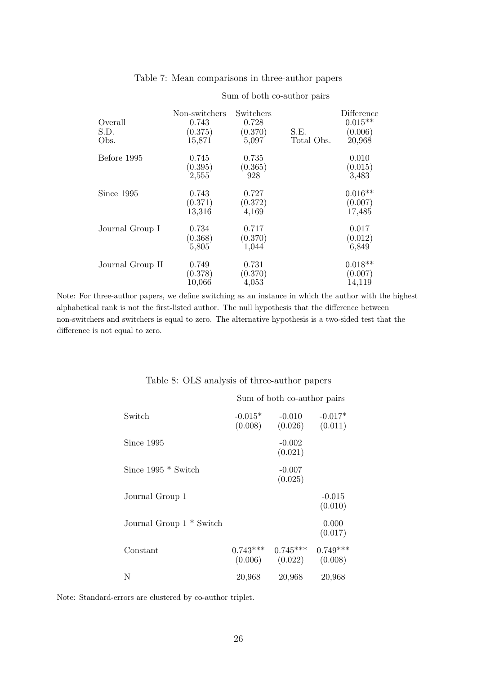| Overall<br>S.D.<br>Obs. | Non-switchers<br>0.743<br>(0.375)<br>15,871 | Switchers<br>0.728<br>(0.370)<br>5,097 | S.E.<br>Total Obs. | Difference<br>$0.015**$<br>(0.006)<br>20,968 |
|-------------------------|---------------------------------------------|----------------------------------------|--------------------|----------------------------------------------|
| Before 1995             | 0.745<br>(0.395)<br>2,555                   | 0.735<br>(0.365)<br>928                |                    | 0.010<br>(0.015)<br>3,483                    |
| Since 1995              | 0.743<br>(0.371)<br>13,316                  | 0.727<br>(0.372)<br>4,169              |                    | $0.016**$<br>(0.007)<br>17,485               |
| Journal Group I         | 0.734<br>(0.368)<br>5,805                   | 0.717<br>(0.370)<br>1,044              |                    | 0.017<br>(0.012)<br>6,849                    |
| Journal Group II        | 0.749<br>(0.378)<br>10,066                  | 0.731<br>(0.370)<br>4,053              |                    | $0.018**$<br>(0.007)<br>14,119               |

#### Table 7: Mean comparisons in three-author papers

Sum of both co-author pairs

Note: For three-author papers, we define switching as an instance in which the author with the highest alphabetical rank is not the first-listed author. The null hypothesis that the difference between non-switchers and switchers is equal to zero. The alternative hypothesis is a two-sided test that the difference is not equal to zero.

|                                     | Sum of both co-author pairs |                                   |                       |  |
|-------------------------------------|-----------------------------|-----------------------------------|-----------------------|--|
| Switch                              | $-0.015*$<br>(0.008)        | $-0.010$<br>(0.026)               | $-0.017*$<br>(0.011)  |  |
| Since 1995                          |                             | $-0.002$<br>(0.021)               |                       |  |
| Since $1995 *$ Switch               |                             | $-0.007$<br>(0.025)               |                       |  |
| Journal Group 1                     |                             |                                   | $-0.015$<br>(0.010)   |  |
| Journal Group 1 <sup>*</sup> Switch |                             |                                   | 0.000<br>(0.017)      |  |
| Constant                            | $0.743***$                  | $0.745***$<br>$(0.006)$ $(0.022)$ | $0.749***$<br>(0.008) |  |
| N                                   | 20,968                      | 20,968                            | 20,968                |  |

Table 8: OLS analysis of three-author papers

Note: Standard-errors are clustered by co-author triplet.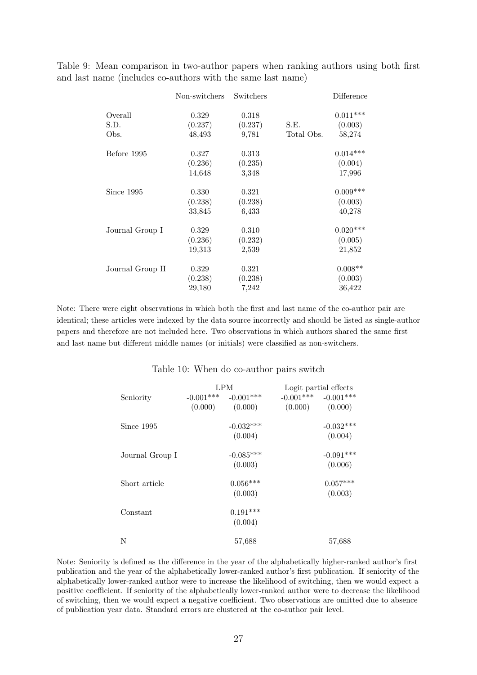Table 9: Mean comparison in two-author papers when ranking authors using both first and last name (includes co-authors with the same last name)

|                  | Non-switchers | Switchers |            | Difference |
|------------------|---------------|-----------|------------|------------|
| Overall          | 0.329         | 0.318     |            | $0.011***$ |
| S.D.             | (0.237)       | (0.237)   | S.E.       | (0.003)    |
| Obs.             | 48,493        | 9,781     | Total Obs. | 58,274     |
| Before 1995      | 0.327         | 0.313     |            | $0.014***$ |
|                  | (0.236)       | (0.235)   |            | (0.004)    |
|                  | 14,648        | 3,348     |            | 17,996     |
| Since 1995       | 0.330         | 0.321     |            | $0.009***$ |
|                  | (0.238)       | (0.238)   |            | (0.003)    |
|                  | 33,845        | 6,433     |            | 40,278     |
| Journal Group I  | 0.329         | 0.310     |            | $0.020***$ |
|                  | (0.236)       | (0.232)   |            | (0.005)    |
|                  | 19,313        | 2,539     |            | 21,852     |
| Journal Group II | 0.329         | 0.321     |            | $0.008**$  |
|                  | (0.238)       | (0.238)   |            | (0.003)    |
|                  | 29,180        | 7,242     |            | 36,422     |

Note: There were eight observations in which both the first and last name of the co-author pair are identical; these articles were indexed by the data source incorrectly and should be listed as single-author papers and therefore are not included here. Two observations in which authors shared the same first and last name but different middle names (or initials) were classified as non-switchers.

#### Table 10: When do co-author pairs switch

|                 | LPM |                         | Logit partial effects |                         |
|-----------------|-----|-------------------------|-----------------------|-------------------------|
| Seniority       |     | $-0.001***$ $-0.001***$ |                       | $-0.001***$ $-0.001***$ |
|                 |     | $(0.000)$ $(0.000)$     |                       | $(0.000)$ $(0.000)$     |
| Since 1995      |     | $-0.032***$             |                       | $-0.032***$             |
|                 |     | (0.004)                 |                       | (0.004)                 |
| Journal Group I |     | $-0.085***$             |                       | $-0.091***$             |
|                 |     | (0.003)                 |                       | (0.006)                 |
| Short article   |     | $0.056***$              |                       | $0.057***$              |
|                 |     | (0.003)                 |                       | (0.003)                 |
| Constant        |     | $0.191***$              |                       |                         |
|                 |     | (0.004)                 |                       |                         |
| N               |     | 57,688                  |                       | 57,688                  |

Note: Seniority is defined as the difference in the year of the alphabetically higher-ranked author's first publication and the year of the alphabetically lower-ranked author's first publication. If seniority of the alphabetically lower-ranked author were to increase the likelihood of switching, then we would expect a positive coefficient. If seniority of the alphabetically lower-ranked author were to decrease the likelihood of switching, then we would expect a negative coefficient. Two observations are omitted due to absence of publication year data. Standard errors are clustered at the co-author pair level.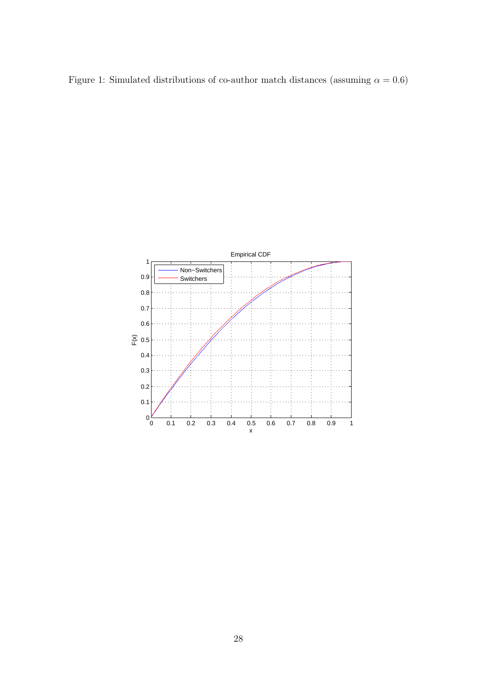Figure 1: Simulated distributions of co-author match distances (assuming  $\alpha = 0.6$ )